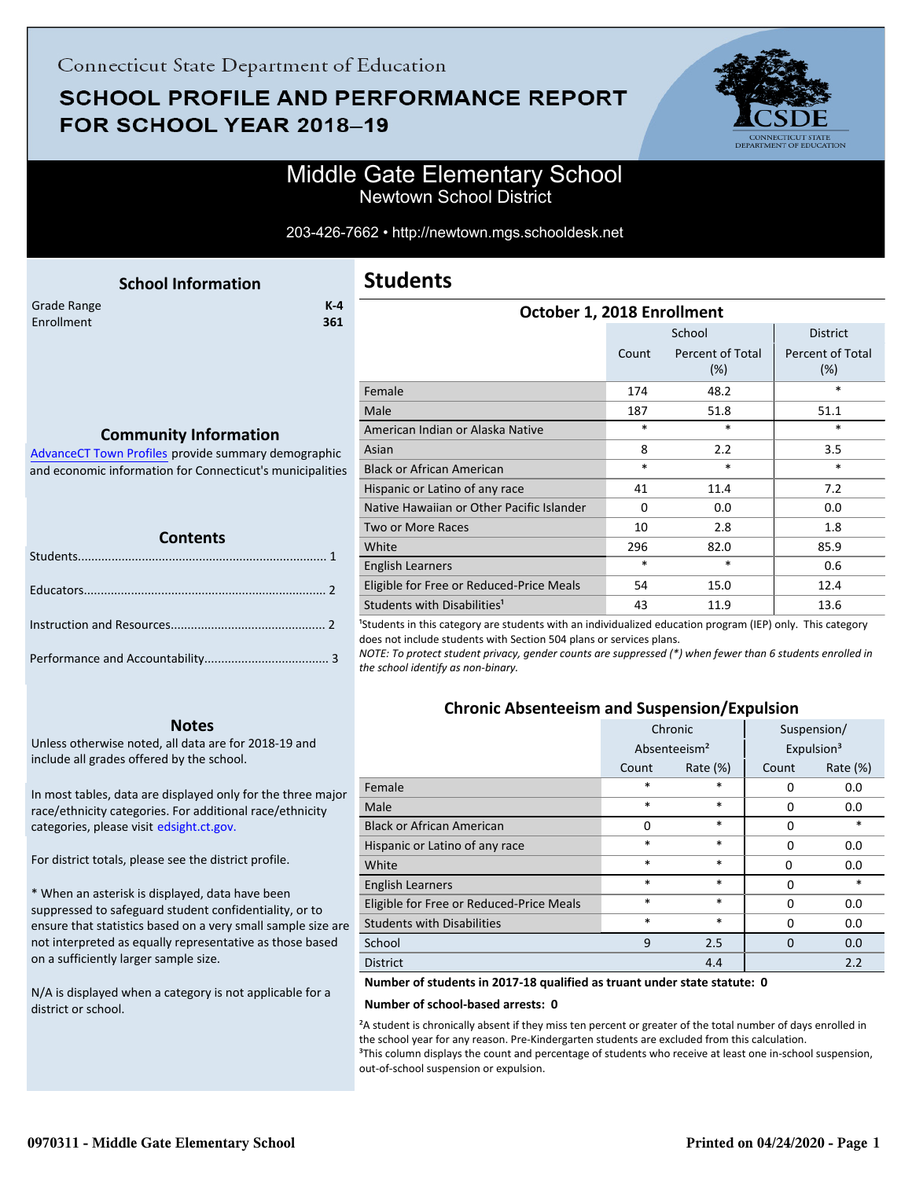## **SCHOOL PROFILE AND PERFORMANCE REPORT** FOR SCHOOL YEAR 2018-19



### Middle Gate Elementary School Newtown School District

#### 203-426-7662 • http://newtown.mgs.schooldesk.net

<span id="page-0-0"></span>

| <b>School Information</b>                           | <b>Students</b>                  |                |
|-----------------------------------------------------|----------------------------------|----------------|
| Grade Range<br>$K-4$<br>Enrollment<br>361           | October 1, 201                   |                |
|                                                     |                                  | C <sub>C</sub> |
|                                                     | Female                           |                |
|                                                     | Male                             |                |
| <b>Community Information</b>                        | American Indian or Alaska Native |                |
| AdvanceCT Town Profiles provide summary demographic | Asian                            |                |
|                                                     |                                  |                |

AdvanceCT Town Profiles provide summary demographic  [and economic information for Connecticut's municipalities](http://www.cerc.com/townprofiles/)

| Contents |  |  |  |  |
|----------|--|--|--|--|
|          |  |  |  |  |
|          |  |  |  |  |
|          |  |  |  |  |
|          |  |  |  |  |

#### **Notes**

Unless otherwise noted, all data are for 2018-19 and include all grades offered by the school.

[In most tables, data are displayed only for the three major](http://edsight.ct.gov/) race/ethnicity categories. For additional race/ethnicity categories, please visit edsight.ct.gov.

For district totals, please see the district profile.

\* When an asterisk is displayed, data have been suppressed to safeguard student confidentiality, or to ensure that statistics based on a very small sample size are not interpreted as equally representative as those based on a sufficiently larger sample size.

N/A is displayed when a category is not applicable for a district or school.

| October 1, 2018 Enrollment                |          |                                |                                   |  |
|-------------------------------------------|----------|--------------------------------|-----------------------------------|--|
|                                           |          | School                         | <b>District</b>                   |  |
|                                           | Count    | <b>Percent of Total</b><br>(%) | <b>Percent of Total</b><br>$(\%)$ |  |
| Female                                    | 174      | 48.2                           | $\ast$                            |  |
| Male                                      | 187      | 51.8                           | 51.1                              |  |
| American Indian or Alaska Native          | *        | *                              | $\ast$                            |  |
| Asian                                     | 8        | 2.2                            | 3.5                               |  |
| <b>Black or African American</b>          | $\ast$   | $\ast$                         | $\ast$                            |  |
| Hispanic or Latino of any race            | 41       | 11.4                           | 7.2                               |  |
| Native Hawaiian or Other Pacific Islander | $\Omega$ | 0.0                            | 0.0                               |  |
| <b>Two or More Races</b>                  | 10       | 2.8                            | 1.8                               |  |
| White                                     | 296      | 82.0                           | 85.9                              |  |
| <b>English Learners</b>                   | $\ast$   | $\ast$                         | 0.6                               |  |
| Eligible for Free or Reduced-Price Meals  | 54       | 15.0                           | 12.4                              |  |
| Students with Disabilities <sup>1</sup>   | 43       | 11.9                           | 13.6                              |  |
|                                           |          |                                |                                   |  |

<sup>1</sup>Students in this category are students with an individualized education program (IEP) only. This category does not include students with Section 504 plans or services plans.

*NOTE: To protect student privacy, gender counts are suppressed (\*) when fewer than 6 students enrolled in the school identify as non-binary.*

### **Chronic Absenteeism and Suspension/Expulsion**

|                                          | Chronic |                                                    |          | Suspension/ |
|------------------------------------------|---------|----------------------------------------------------|----------|-------------|
|                                          |         | Expulsion <sup>3</sup><br>Absenteeism <sup>2</sup> |          |             |
|                                          | Count   | Rate $(\%)$                                        | Count    | Rate $(\%)$ |
| Female                                   | $\ast$  | $\ast$                                             | 0        | 0.0         |
| Male                                     | $\ast$  | $\ast$                                             | 0        | 0.0         |
| <b>Black or African American</b>         | 0       | $\ast$                                             | 0        | $\ast$      |
| Hispanic or Latino of any race           | $\ast$  | $\ast$                                             | 0        | 0.0         |
| White                                    | $\ast$  | $\ast$                                             | $\Omega$ | 0.0         |
| <b>English Learners</b>                  | $\ast$  | $\ast$                                             | 0        | $\ast$      |
| Eligible for Free or Reduced-Price Meals | $\ast$  | $\ast$                                             | 0        | 0.0         |
| <b>Students with Disabilities</b>        | $\ast$  | $\ast$                                             | 0        | 0.0         |
| School                                   | 9       | 2.5                                                | $\Omega$ | 0.0         |
| <b>District</b>                          |         | 4.4                                                |          | 2.2         |

**Number of students in 2017-18 qualified as truant under state statute: 0**

#### **Number of school-based arrests: 0**

²A student is chronically absent if they miss ten percent or greater of the total number of days enrolled in the school year for any reason. Pre-Kindergarten students are excluded from this calculation. <sup>3</sup>This column displays the count and percentage of students who receive at least one in-school suspension, out-of-school suspension or expulsion.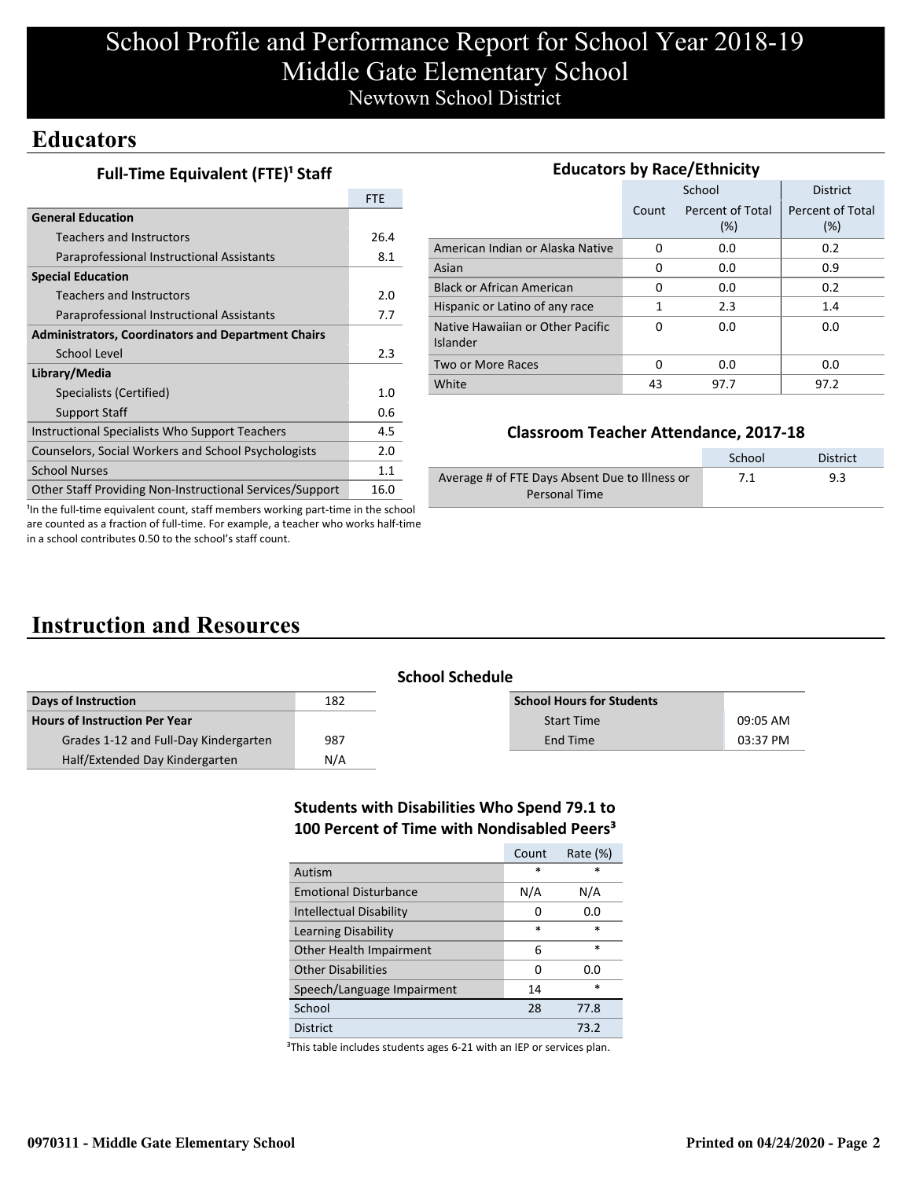# School Profile and Performance Report for School Year 2018-19 Middle Gate Elementary School Newtown School District

### **Educators**

| Full-Time Equivalent (FTE) <sup>1</sup> Staff |  |
|-----------------------------------------------|--|
|-----------------------------------------------|--|

|                                                           | <b>FTE</b> |
|-----------------------------------------------------------|------------|
| <b>General Education</b>                                  |            |
| <b>Teachers and Instructors</b>                           | 26.4       |
| Paraprofessional Instructional Assistants                 | 8.1        |
| <b>Special Education</b>                                  |            |
| Teachers and Instructors                                  | 2.0        |
| Paraprofessional Instructional Assistants                 | 7.7        |
| <b>Administrators, Coordinators and Department Chairs</b> |            |
| School Level                                              | 2.3        |
| Library/Media                                             |            |
| Specialists (Certified)                                   | 1.0        |
| Support Staff                                             | 0.6        |
| Instructional Specialists Who Support Teachers            | 4.5        |
| Counselors, Social Workers and School Psychologists       | 2.0        |
| <b>School Nurses</b>                                      | 1.1        |
| Other Staff Providing Non-Instructional Services/Support  | 16.0       |

| <b>Educators by Race/Ethnicity</b>           |       |                         |                         |  |  |
|----------------------------------------------|-------|-------------------------|-------------------------|--|--|
|                                              |       | School                  | <b>District</b>         |  |  |
|                                              | Count | Percent of Total<br>(%) | Percent of Total<br>(%) |  |  |
| American Indian or Alaska Native             | 0     | 0.0                     | 0.2                     |  |  |
| Asian                                        | 0     | 0.0                     | 0.9                     |  |  |
| <b>Black or African American</b>             | 0     | 0.0                     | 0.2                     |  |  |
| Hispanic or Latino of any race               | 1     | 2.3                     | 1.4                     |  |  |
| Native Hawaiian or Other Pacific<br>Islander | 0     | 0.0                     | 0.0                     |  |  |
| Two or More Races                            | O     | 0.0                     | 0.0                     |  |  |
| White                                        | 43    | 97.7                    | 97.2                    |  |  |

### **Classroom Teacher Attendance, 2017-18**

|                                                | School | <b>District</b> |
|------------------------------------------------|--------|-----------------|
| Average # of FTE Days Absent Due to Illness or | 7.1    | 9.3             |
| Personal Time                                  |        |                 |

<sup>1</sup>In the full-time equivalent count, staff members working part-time in the school are counted as a fraction of full-time. For example, a teacher who works half-time in a school contributes 0.50 to the school's staff count.

# **Instruction and Resources**

|                                       | <b>School Schedule</b> |                                  |          |  |
|---------------------------------------|------------------------|----------------------------------|----------|--|
| Days of Instruction                   | 182                    | <b>School Hours for Students</b> |          |  |
| <b>Hours of Instruction Per Year</b>  |                        | <b>Start Time</b>                | 09:05 AM |  |
| Grades 1-12 and Full-Day Kindergarten | 987                    | End Time                         | 03:37 PM |  |
| Half/Extended Day Kindergarten        | N/A                    |                                  |          |  |

### **Students with Disabilities Who Spend 79.1 to 100 Percent of Time with Nondisabled Peers³**

|                                | Count  | Rate $(\%)$ |
|--------------------------------|--------|-------------|
| Autism                         | $\ast$ | *           |
| <b>Emotional Disturbance</b>   | N/A    | N/A         |
| <b>Intellectual Disability</b> | O      | 0.0         |
| Learning Disability            | $\ast$ | $\ast$      |
| Other Health Impairment        | 6      | $\ast$      |
| <b>Other Disabilities</b>      | 0      | 0.O         |
| Speech/Language Impairment     | 14     | *           |
| School                         | 28     | 77.8        |
| District                       |        | 73.2        |

<sup>3</sup>This table includes students ages 6-21 with an IEP or services plan.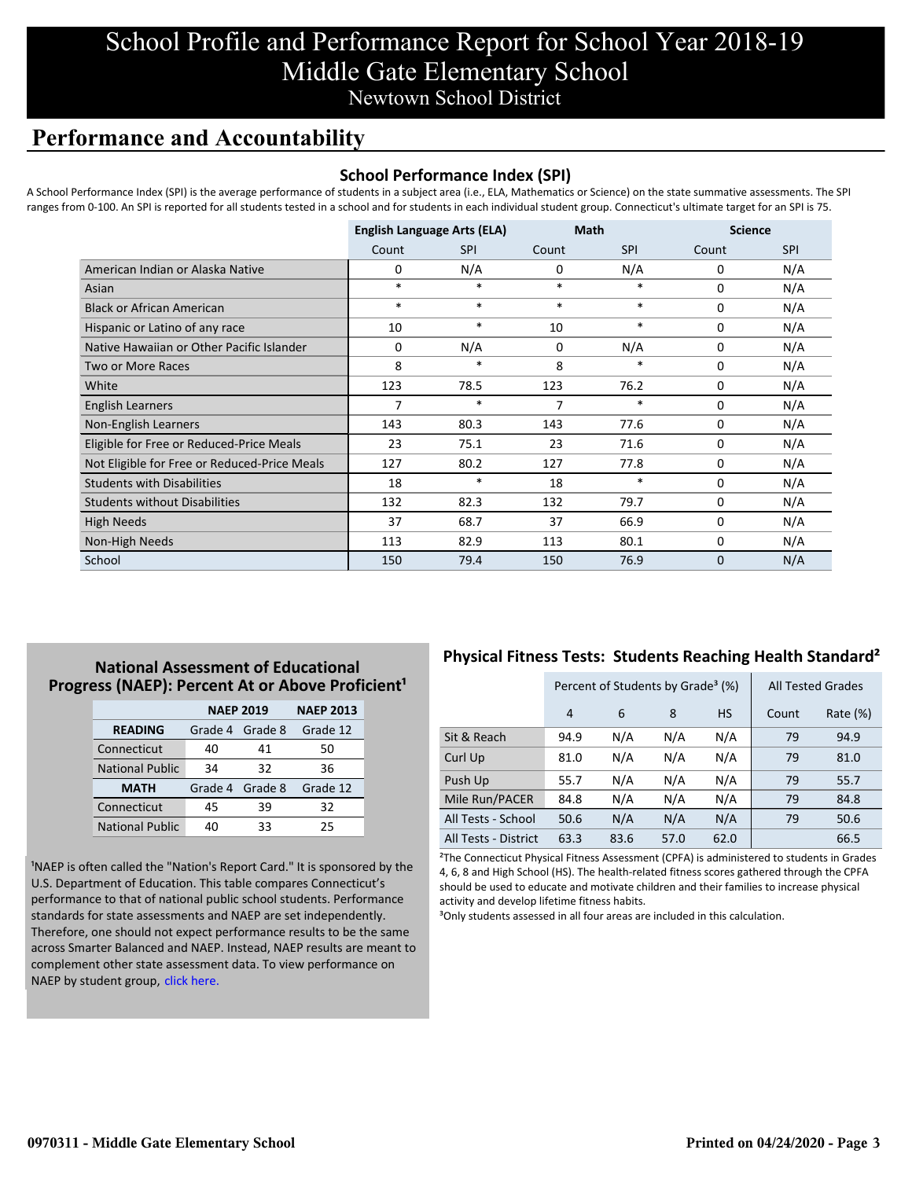## School Profile and Performance Report for School Year 2018-19 Middle Gate Elementary School Newtown School District

### **Performance and Accountability**

#### **School Performance Index (SPI)**

A School Performance Index (SPI) is the average performance of students in a subject area (i.e., ELA, Mathematics or Science) on the state summative assessments. The SPI ranges from 0-100. An SPI is reported for all students tested in a school and for students in each individual student group. Connecticut's ultimate target for an SPI is 75.

|                                              | <b>English Language Arts (ELA)</b> |            | <b>Math</b> |            | <b>Science</b> |            |
|----------------------------------------------|------------------------------------|------------|-------------|------------|----------------|------------|
|                                              | Count                              | <b>SPI</b> | Count       | <b>SPI</b> | Count          | <b>SPI</b> |
| American Indian or Alaska Native             | 0                                  | N/A        | 0           | N/A        | 0              | N/A        |
| Asian                                        | $*$                                | $\ast$     | $\ast$      | $\ast$     | $\Omega$       | N/A        |
| <b>Black or African American</b>             | $*$                                | $*$        | $\ast$      | $\ast$     | $\Omega$       | N/A        |
| Hispanic or Latino of any race               | 10                                 | $\ast$     | 10          | $\ast$     | $\Omega$       | N/A        |
| Native Hawaiian or Other Pacific Islander    | $\Omega$                           | N/A        | $\Omega$    | N/A        | 0              | N/A        |
| <b>Two or More Races</b>                     | 8                                  | $\ast$     | 8           | $\ast$     | 0              | N/A        |
| White                                        | 123                                | 78.5       | 123         | 76.2       | 0              | N/A        |
| English Learners                             | 7                                  | $\ast$     | 7           | $\ast$     | 0              | N/A        |
| Non-English Learners                         | 143                                | 80.3       | 143         | 77.6       | 0              | N/A        |
| Eligible for Free or Reduced-Price Meals     | 23                                 | 75.1       | 23          | 71.6       | 0              | N/A        |
| Not Eligible for Free or Reduced-Price Meals | 127                                | 80.2       | 127         | 77.8       | 0              | N/A        |
| <b>Students with Disabilities</b>            | 18                                 | $\ast$     | 18          | $\ast$     | 0              | N/A        |
| <b>Students without Disabilities</b>         | 132                                | 82.3       | 132         | 79.7       | 0              | N/A        |
| <b>High Needs</b>                            | 37                                 | 68.7       | 37          | 66.9       | $\Omega$       | N/A        |
| Non-High Needs                               | 113                                | 82.9       | 113         | 80.1       | 0              | N/A        |
| School                                       | 150                                | 79.4       | 150         | 76.9       | $\Omega$       | N/A        |

### **National Assessment of Educational Progress (NAEP): Percent At or Above Proficient<sup>1</sup>**

|                        | <b>NAEP 2019</b> | <b>NAEP 2013</b> |          |
|------------------------|------------------|------------------|----------|
| <b>READING</b>         | Grade 4          | Grade 8          | Grade 12 |
| Connecticut            | 40               | 41               | 50       |
| <b>National Public</b> | 34               | 32               | 36       |
| <b>MATH</b>            | Grade 4 Grade 8  |                  | Grade 12 |
| Connecticut            | 45               | 39               | 32       |
| <b>National Public</b> | 40               | 33               | 25       |

<sup>1</sup>NAEP is often called the "Nation's Report Card." It is sponsored by the U.S. Department of Education. This table compares Connecticut's performance to that of national public school students. Performance standards for state assessments and NAEP are set independently. Therefore, one should not expect performance results to be the same [across Smarter Balanced and NAEP. Instead, NAEP results are meant to](https://portal.ct.gov/-/media/SDE/Student-Assessment/NAEP/report-card_NAEP-2019.pdf?la=en) complement other state assessment data. To view performance on NAEP by student group, click here.

### **Physical Fitness Tests: Students Reaching Health Standard²**

|                      | Percent of Students by Grade <sup>3</sup> (%) |      |      |           | <b>All Tested Grades</b> |             |
|----------------------|-----------------------------------------------|------|------|-----------|--------------------------|-------------|
|                      | 4                                             | 6    | 8    | <b>HS</b> | Count                    | Rate $(\%)$ |
| Sit & Reach          | 94.9                                          | N/A  | N/A  | N/A       | 79                       | 94.9        |
| Curl Up              | 81.0                                          | N/A  | N/A  | N/A       | 79                       | 81.0        |
| Push Up              | 55.7                                          | N/A  | N/A  | N/A       | 79                       | 55.7        |
| Mile Run/PACER       | 84.8                                          | N/A  | N/A  | N/A       | 79                       | 84.8        |
| All Tests - School   | 50.6                                          | N/A  | N/A  | N/A       | 79                       | 50.6        |
| All Tests - District | 63.3                                          | 83.6 | 57.0 | 62.0      |                          | 66.5        |

²The Connecticut Physical Fitness Assessment (CPFA) is administered to students in Grades 4, 6, 8 and High School (HS). The health-related fitness scores gathered through the CPFA should be used to educate and motivate children and their families to increase physical activity and develop lifetime fitness habits.

<sup>3</sup>Only students assessed in all four areas are included in this calculation.